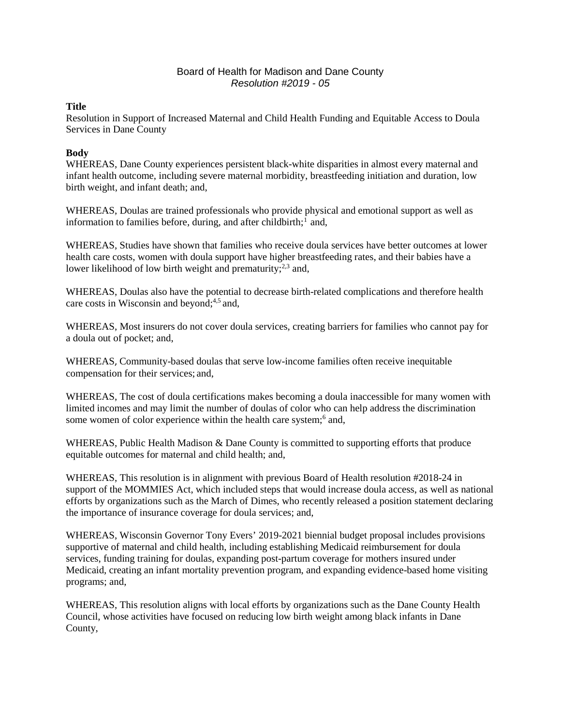## Board of Health for Madison and Dane County *Resolution #2019 - 05*

## **Title**

Resolution in Support of Increased Maternal and Child Health Funding and Equitable Access to Doula Services in Dane County

## **Body**

WHEREAS, Dane County experiences persistent black-white disparities in almost every maternal and infant health outcome, including severe maternal morbidity, breastfeeding initiation and duration, low birth weight, and infant death; and,

WHEREAS, Doulas are trained professionals who provide physical and emotional support as well as information to families before, during, and after childbirth;<sup>[1](#page-1-0)</sup> and,

WHEREAS, Studies have shown that families who receive doula services have better outcomes at lower health care costs, women with doula support have higher breastfeeding rates, and their babies have a lower likelihood of low birth weight and prematurity;<sup>2,3</sup> and,

WHEREAS, Doulas also have the potential to decrease birth-related complications and therefore health care costs in Wisconsin and beyond; 4,5 and,

WHEREAS, Most insurers do not cover doula services, creating barriers for families who cannot pay for a doula out of pocket; and,

WHEREAS, Community-based doulas that serve low-income families often receive inequitable compensation for their services; and,

WHEREAS, The cost of doula certifications makes becoming a doula inaccessible for many women with limited incomes and may limit the number of doulas of color who can help address the discrimination some women of color experience within the health care system;<sup>6</sup> and,

WHEREAS, Public Health Madison & Dane County is committed to supporting efforts that produce equitable outcomes for maternal and child health; and,

WHEREAS, This resolution is in alignment with previous Board of Health resolution #2018-24 in support of the MOMMIES Act, which included steps that would increase doula access, as well as national efforts by organizations such as the March of Dimes, who recently released a position statement declaring the importance of insurance coverage for doula services; and,

WHEREAS, Wisconsin Governor Tony Evers' 2019-2021 biennial budget proposal includes provisions supportive of maternal and child health, including establishing Medicaid reimbursement for doula services, funding training for doulas, expanding post-partum coverage for mothers insured under Medicaid, creating an infant mortality prevention program, and expanding evidence-based home visiting programs; and,

WHEREAS, This resolution aligns with local efforts by organizations such as the Dane County Health Council, whose activities have focused on reducing low birth weight among black infants in Dane County,